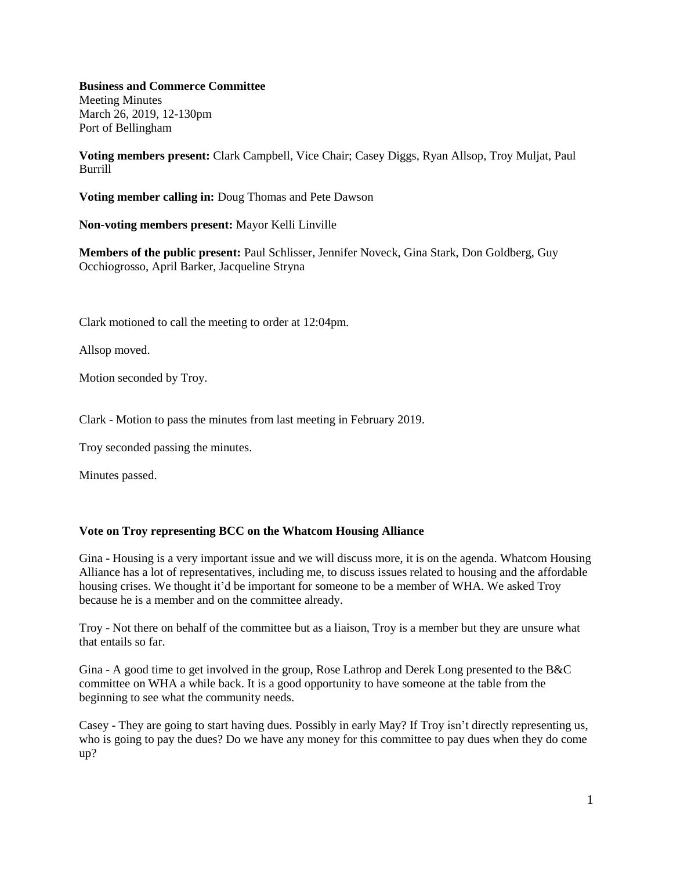**Business and Commerce Committee**

Meeting Minutes March 26, 2019, 12-130pm Port of Bellingham

**Voting members present:** Clark Campbell, Vice Chair; Casey Diggs, Ryan Allsop, Troy Muljat, Paul Burrill

**Voting member calling in:** Doug Thomas and Pete Dawson

**Non-voting members present:** Mayor Kelli Linville

**Members of the public present:** Paul Schlisser, Jennifer Noveck, Gina Stark, Don Goldberg, Guy Occhiogrosso, April Barker, Jacqueline Stryna

Clark motioned to call the meeting to order at 12:04pm.

Allsop moved.

Motion seconded by Troy.

Clark - Motion to pass the minutes from last meeting in February 2019.

Troy seconded passing the minutes.

Minutes passed.

## **Vote on Troy representing BCC on the Whatcom Housing Alliance**

Gina - Housing is a very important issue and we will discuss more, it is on the agenda. Whatcom Housing Alliance has a lot of representatives, including me, to discuss issues related to housing and the affordable housing crises. We thought it'd be important for someone to be a member of WHA. We asked Troy because he is a member and on the committee already.

Troy - Not there on behalf of the committee but as a liaison, Troy is a member but they are unsure what that entails so far.

Gina - A good time to get involved in the group, Rose Lathrop and Derek Long presented to the B&C committee on WHA a while back. It is a good opportunity to have someone at the table from the beginning to see what the community needs.

Casey - They are going to start having dues. Possibly in early May? If Troy isn't directly representing us, who is going to pay the dues? Do we have any money for this committee to pay dues when they do come up?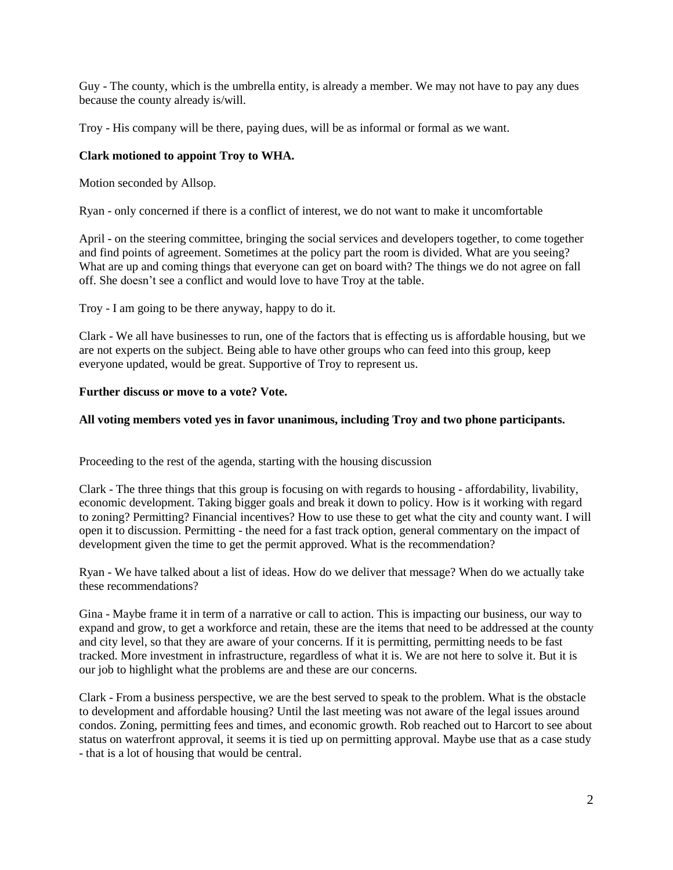Guy - The county, which is the umbrella entity, is already a member. We may not have to pay any dues because the county already is/will.

Troy - His company will be there, paying dues, will be as informal or formal as we want.

## **Clark motioned to appoint Troy to WHA.**

Motion seconded by Allsop.

Ryan - only concerned if there is a conflict of interest, we do not want to make it uncomfortable

April - on the steering committee, bringing the social services and developers together, to come together and find points of agreement. Sometimes at the policy part the room is divided. What are you seeing? What are up and coming things that everyone can get on board with? The things we do not agree on fall off. She doesn't see a conflict and would love to have Troy at the table.

Troy - I am going to be there anyway, happy to do it.

Clark - We all have businesses to run, one of the factors that is effecting us is affordable housing, but we are not experts on the subject. Being able to have other groups who can feed into this group, keep everyone updated, would be great. Supportive of Troy to represent us.

## **Further discuss or move to a vote? Vote.**

## **All voting members voted yes in favor unanimous, including Troy and two phone participants.**

Proceeding to the rest of the agenda, starting with the housing discussion

Clark - The three things that this group is focusing on with regards to housing - affordability, livability, economic development. Taking bigger goals and break it down to policy. How is it working with regard to zoning? Permitting? Financial incentives? How to use these to get what the city and county want. I will open it to discussion. Permitting - the need for a fast track option, general commentary on the impact of development given the time to get the permit approved. What is the recommendation?

Ryan - We have talked about a list of ideas. How do we deliver that message? When do we actually take these recommendations?

Gina - Maybe frame it in term of a narrative or call to action. This is impacting our business, our way to expand and grow, to get a workforce and retain, these are the items that need to be addressed at the county and city level, so that they are aware of your concerns. If it is permitting, permitting needs to be fast tracked. More investment in infrastructure, regardless of what it is. We are not here to solve it. But it is our job to highlight what the problems are and these are our concerns.

Clark - From a business perspective, we are the best served to speak to the problem. What is the obstacle to development and affordable housing? Until the last meeting was not aware of the legal issues around condos. Zoning, permitting fees and times, and economic growth. Rob reached out to Harcort to see about status on waterfront approval, it seems it is tied up on permitting approval. Maybe use that as a case study - that is a lot of housing that would be central.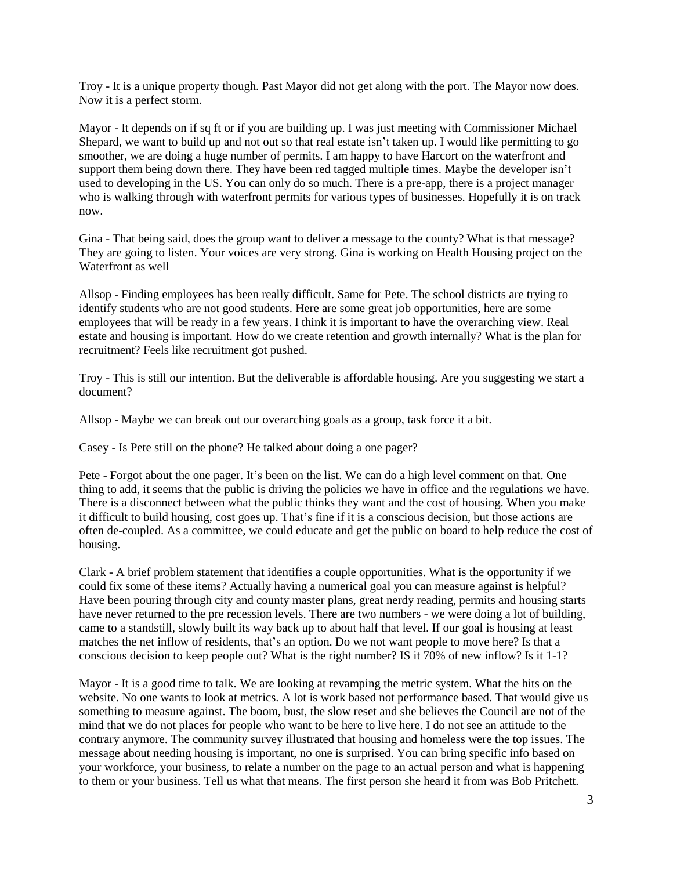Troy - It is a unique property though. Past Mayor did not get along with the port. The Mayor now does. Now it is a perfect storm.

Mayor - It depends on if sq ft or if you are building up. I was just meeting with Commissioner Michael Shepard, we want to build up and not out so that real estate isn't taken up. I would like permitting to go smoother, we are doing a huge number of permits. I am happy to have Harcort on the waterfront and support them being down there. They have been red tagged multiple times. Maybe the developer isn't used to developing in the US. You can only do so much. There is a pre-app, there is a project manager who is walking through with waterfront permits for various types of businesses. Hopefully it is on track now.

Gina - That being said, does the group want to deliver a message to the county? What is that message? They are going to listen. Your voices are very strong. Gina is working on Health Housing project on the Waterfront as well

Allsop - Finding employees has been really difficult. Same for Pete. The school districts are trying to identify students who are not good students. Here are some great job opportunities, here are some employees that will be ready in a few years. I think it is important to have the overarching view. Real estate and housing is important. How do we create retention and growth internally? What is the plan for recruitment? Feels like recruitment got pushed.

Troy - This is still our intention. But the deliverable is affordable housing. Are you suggesting we start a document?

Allsop - Maybe we can break out our overarching goals as a group, task force it a bit.

Casey - Is Pete still on the phone? He talked about doing a one pager?

Pete - Forgot about the one pager. It's been on the list. We can do a high level comment on that. One thing to add, it seems that the public is driving the policies we have in office and the regulations we have. There is a disconnect between what the public thinks they want and the cost of housing. When you make it difficult to build housing, cost goes up. That's fine if it is a conscious decision, but those actions are often de-coupled. As a committee, we could educate and get the public on board to help reduce the cost of housing.

Clark - A brief problem statement that identifies a couple opportunities. What is the opportunity if we could fix some of these items? Actually having a numerical goal you can measure against is helpful? Have been pouring through city and county master plans, great nerdy reading, permits and housing starts have never returned to the pre recession levels. There are two numbers - we were doing a lot of building, came to a standstill, slowly built its way back up to about half that level. If our goal is housing at least matches the net inflow of residents, that's an option. Do we not want people to move here? Is that a conscious decision to keep people out? What is the right number? IS it 70% of new inflow? Is it 1-1?

Mayor - It is a good time to talk. We are looking at revamping the metric system. What the hits on the website. No one wants to look at metrics. A lot is work based not performance based. That would give us something to measure against. The boom, bust, the slow reset and she believes the Council are not of the mind that we do not places for people who want to be here to live here. I do not see an attitude to the contrary anymore. The community survey illustrated that housing and homeless were the top issues. The message about needing housing is important, no one is surprised. You can bring specific info based on your workforce, your business, to relate a number on the page to an actual person and what is happening to them or your business. Tell us what that means. The first person she heard it from was Bob Pritchett.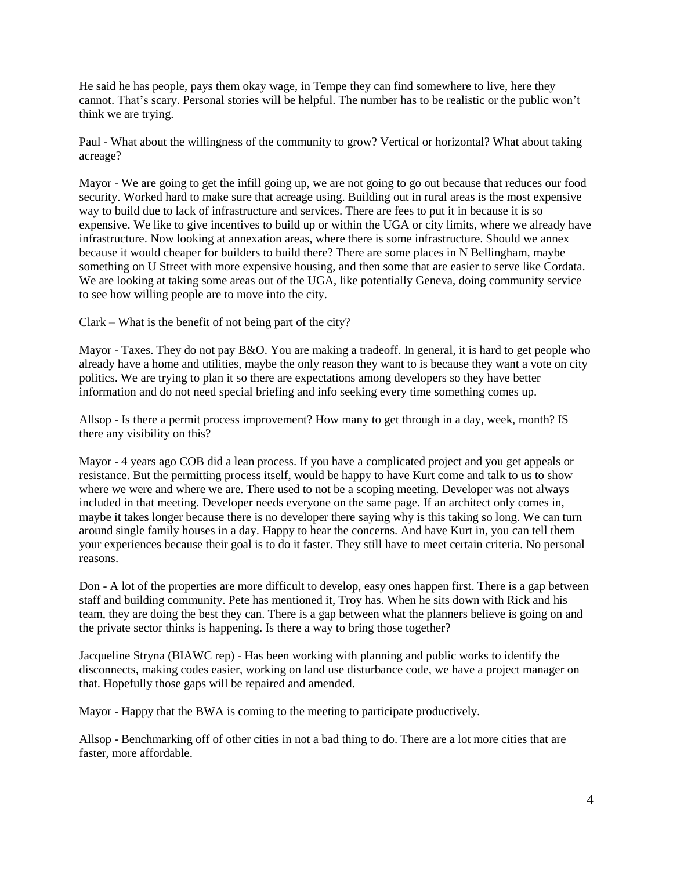He said he has people, pays them okay wage, in Tempe they can find somewhere to live, here they cannot. That's scary. Personal stories will be helpful. The number has to be realistic or the public won't think we are trying.

Paul - What about the willingness of the community to grow? Vertical or horizontal? What about taking acreage?

Mayor - We are going to get the infill going up, we are not going to go out because that reduces our food security. Worked hard to make sure that acreage using. Building out in rural areas is the most expensive way to build due to lack of infrastructure and services. There are fees to put it in because it is so expensive. We like to give incentives to build up or within the UGA or city limits, where we already have infrastructure. Now looking at annexation areas, where there is some infrastructure. Should we annex because it would cheaper for builders to build there? There are some places in N Bellingham, maybe something on U Street with more expensive housing, and then some that are easier to serve like Cordata. We are looking at taking some areas out of the UGA, like potentially Geneva, doing community service to see how willing people are to move into the city.

Clark – What is the benefit of not being part of the city?

Mayor - Taxes. They do not pay B&O. You are making a tradeoff. In general, it is hard to get people who already have a home and utilities, maybe the only reason they want to is because they want a vote on city politics. We are trying to plan it so there are expectations among developers so they have better information and do not need special briefing and info seeking every time something comes up.

Allsop - Is there a permit process improvement? How many to get through in a day, week, month? IS there any visibility on this?

Mayor - 4 years ago COB did a lean process. If you have a complicated project and you get appeals or resistance. But the permitting process itself, would be happy to have Kurt come and talk to us to show where we were and where we are. There used to not be a scoping meeting. Developer was not always included in that meeting. Developer needs everyone on the same page. If an architect only comes in, maybe it takes longer because there is no developer there saying why is this taking so long. We can turn around single family houses in a day. Happy to hear the concerns. And have Kurt in, you can tell them your experiences because their goal is to do it faster. They still have to meet certain criteria. No personal reasons.

Don - A lot of the properties are more difficult to develop, easy ones happen first. There is a gap between staff and building community. Pete has mentioned it, Troy has. When he sits down with Rick and his team, they are doing the best they can. There is a gap between what the planners believe is going on and the private sector thinks is happening. Is there a way to bring those together?

Jacqueline Stryna (BIAWC rep) - Has been working with planning and public works to identify the disconnects, making codes easier, working on land use disturbance code, we have a project manager on that. Hopefully those gaps will be repaired and amended.

Mayor - Happy that the BWA is coming to the meeting to participate productively.

Allsop - Benchmarking off of other cities in not a bad thing to do. There are a lot more cities that are faster, more affordable.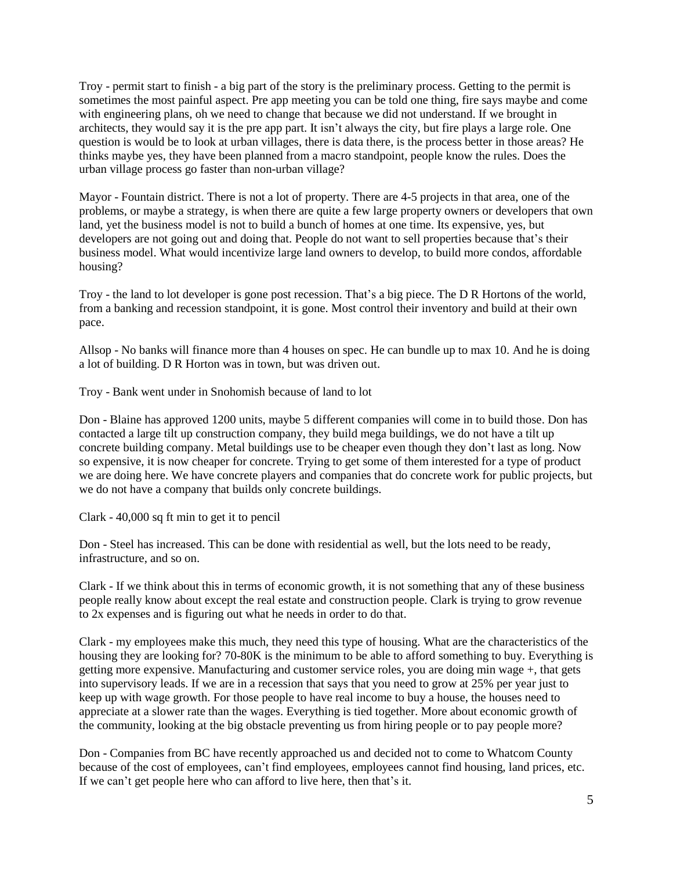Troy - permit start to finish - a big part of the story is the preliminary process. Getting to the permit is sometimes the most painful aspect. Pre app meeting you can be told one thing, fire says maybe and come with engineering plans, oh we need to change that because we did not understand. If we brought in architects, they would say it is the pre app part. It isn't always the city, but fire plays a large role. One question is would be to look at urban villages, there is data there, is the process better in those areas? He thinks maybe yes, they have been planned from a macro standpoint, people know the rules. Does the urban village process go faster than non-urban village?

Mayor - Fountain district. There is not a lot of property. There are 4-5 projects in that area, one of the problems, or maybe a strategy, is when there are quite a few large property owners or developers that own land, yet the business model is not to build a bunch of homes at one time. Its expensive, yes, but developers are not going out and doing that. People do not want to sell properties because that's their business model. What would incentivize large land owners to develop, to build more condos, affordable housing?

Troy - the land to lot developer is gone post recession. That's a big piece. The D R Hortons of the world, from a banking and recession standpoint, it is gone. Most control their inventory and build at their own pace.

Allsop - No banks will finance more than 4 houses on spec. He can bundle up to max 10. And he is doing a lot of building. D R Horton was in town, but was driven out.

Troy - Bank went under in Snohomish because of land to lot

Don - Blaine has approved 1200 units, maybe 5 different companies will come in to build those. Don has contacted a large tilt up construction company, they build mega buildings, we do not have a tilt up concrete building company. Metal buildings use to be cheaper even though they don't last as long. Now so expensive, it is now cheaper for concrete. Trying to get some of them interested for a type of product we are doing here. We have concrete players and companies that do concrete work for public projects, but we do not have a company that builds only concrete buildings.

Clark - 40,000 sq ft min to get it to pencil

Don - Steel has increased. This can be done with residential as well, but the lots need to be ready, infrastructure, and so on.

Clark - If we think about this in terms of economic growth, it is not something that any of these business people really know about except the real estate and construction people. Clark is trying to grow revenue to 2x expenses and is figuring out what he needs in order to do that.

Clark - my employees make this much, they need this type of housing. What are the characteristics of the housing they are looking for? 70-80K is the minimum to be able to afford something to buy. Everything is getting more expensive. Manufacturing and customer service roles, you are doing min wage +, that gets into supervisory leads. If we are in a recession that says that you need to grow at 25% per year just to keep up with wage growth. For those people to have real income to buy a house, the houses need to appreciate at a slower rate than the wages. Everything is tied together. More about economic growth of the community, looking at the big obstacle preventing us from hiring people or to pay people more?

Don - Companies from BC have recently approached us and decided not to come to Whatcom County because of the cost of employees, can't find employees, employees cannot find housing, land prices, etc. If we can't get people here who can afford to live here, then that's it.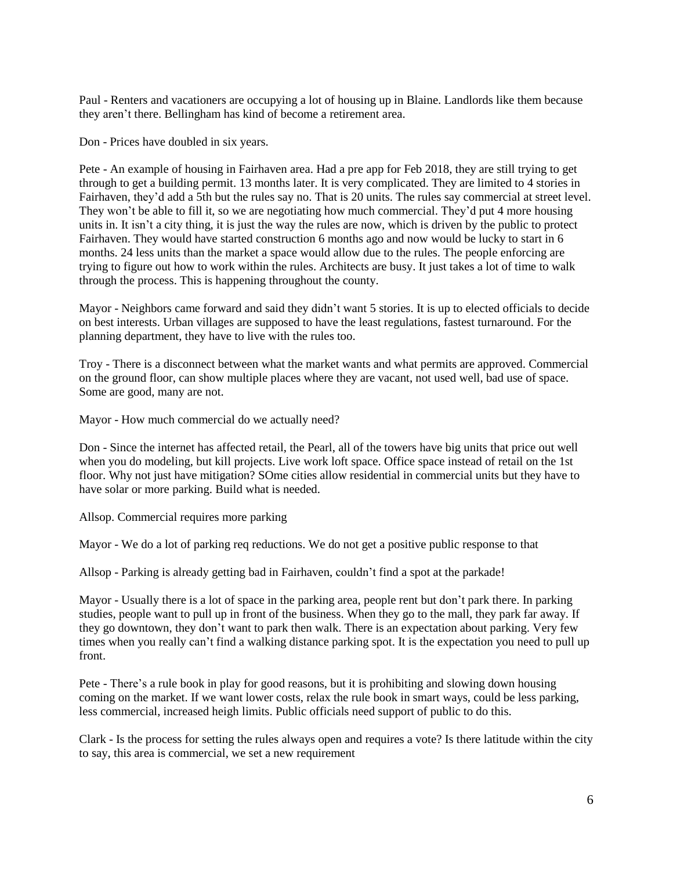Paul - Renters and vacationers are occupying a lot of housing up in Blaine. Landlords like them because they aren't there. Bellingham has kind of become a retirement area.

Don - Prices have doubled in six years.

Pete - An example of housing in Fairhaven area. Had a pre app for Feb 2018, they are still trying to get through to get a building permit. 13 months later. It is very complicated. They are limited to 4 stories in Fairhaven, they'd add a 5th but the rules say no. That is 20 units. The rules say commercial at street level. They won't be able to fill it, so we are negotiating how much commercial. They'd put 4 more housing units in. It isn't a city thing, it is just the way the rules are now, which is driven by the public to protect Fairhaven. They would have started construction 6 months ago and now would be lucky to start in 6 months. 24 less units than the market a space would allow due to the rules. The people enforcing are trying to figure out how to work within the rules. Architects are busy. It just takes a lot of time to walk through the process. This is happening throughout the county.

Mayor - Neighbors came forward and said they didn't want 5 stories. It is up to elected officials to decide on best interests. Urban villages are supposed to have the least regulations, fastest turnaround. For the planning department, they have to live with the rules too.

Troy - There is a disconnect between what the market wants and what permits are approved. Commercial on the ground floor, can show multiple places where they are vacant, not used well, bad use of space. Some are good, many are not.

Mayor - How much commercial do we actually need?

Don - Since the internet has affected retail, the Pearl, all of the towers have big units that price out well when you do modeling, but kill projects. Live work loft space. Office space instead of retail on the 1st floor. Why not just have mitigation? SOme cities allow residential in commercial units but they have to have solar or more parking. Build what is needed.

Allsop. Commercial requires more parking

Mayor - We do a lot of parking req reductions. We do not get a positive public response to that

Allsop - Parking is already getting bad in Fairhaven, couldn't find a spot at the parkade!

Mayor - Usually there is a lot of space in the parking area, people rent but don't park there. In parking studies, people want to pull up in front of the business. When they go to the mall, they park far away. If they go downtown, they don't want to park then walk. There is an expectation about parking. Very few times when you really can't find a walking distance parking spot. It is the expectation you need to pull up front.

Pete - There's a rule book in play for good reasons, but it is prohibiting and slowing down housing coming on the market. If we want lower costs, relax the rule book in smart ways, could be less parking, less commercial, increased heigh limits. Public officials need support of public to do this.

Clark - Is the process for setting the rules always open and requires a vote? Is there latitude within the city to say, this area is commercial, we set a new requirement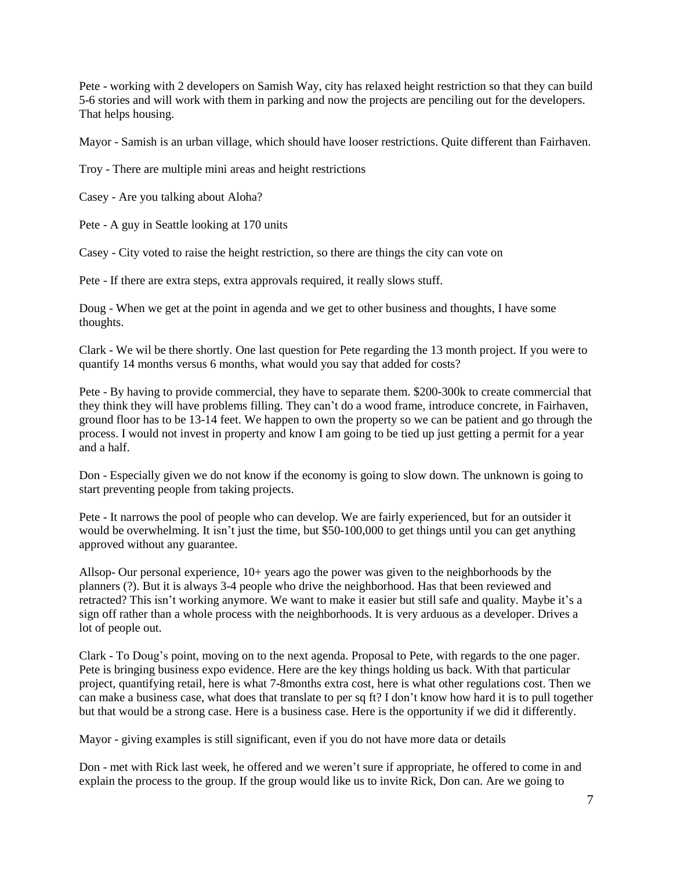Pete - working with 2 developers on Samish Way, city has relaxed height restriction so that they can build 5-6 stories and will work with them in parking and now the projects are penciling out for the developers. That helps housing.

Mayor - Samish is an urban village, which should have looser restrictions. Quite different than Fairhaven.

Troy - There are multiple mini areas and height restrictions

Casey - Are you talking about Aloha?

Pete - A guy in Seattle looking at 170 units

Casey - City voted to raise the height restriction, so there are things the city can vote on

Pete - If there are extra steps, extra approvals required, it really slows stuff.

Doug - When we get at the point in agenda and we get to other business and thoughts, I have some thoughts.

Clark - We wil be there shortly. One last question for Pete regarding the 13 month project. If you were to quantify 14 months versus 6 months, what would you say that added for costs?

Pete - By having to provide commercial, they have to separate them. \$200-300k to create commercial that they think they will have problems filling. They can't do a wood frame, introduce concrete, in Fairhaven, ground floor has to be 13-14 feet. We happen to own the property so we can be patient and go through the process. I would not invest in property and know I am going to be tied up just getting a permit for a year and a half.

Don - Especially given we do not know if the economy is going to slow down. The unknown is going to start preventing people from taking projects.

Pete - It narrows the pool of people who can develop. We are fairly experienced, but for an outsider it would be overwhelming. It isn't just the time, but \$50-100,000 to get things until you can get anything approved without any guarantee.

Allsop- Our personal experience, 10+ years ago the power was given to the neighborhoods by the planners (?). But it is always 3-4 people who drive the neighborhood. Has that been reviewed and retracted? This isn't working anymore. We want to make it easier but still safe and quality. Maybe it's a sign off rather than a whole process with the neighborhoods. It is very arduous as a developer. Drives a lot of people out.

Clark - To Doug's point, moving on to the next agenda. Proposal to Pete, with regards to the one pager. Pete is bringing business expo evidence. Here are the key things holding us back. With that particular project, quantifying retail, here is what 7-8months extra cost, here is what other regulations cost. Then we can make a business case, what does that translate to per sq ft? I don't know how hard it is to pull together but that would be a strong case. Here is a business case. Here is the opportunity if we did it differently.

Mayor - giving examples is still significant, even if you do not have more data or details

Don - met with Rick last week, he offered and we weren't sure if appropriate, he offered to come in and explain the process to the group. If the group would like us to invite Rick, Don can. Are we going to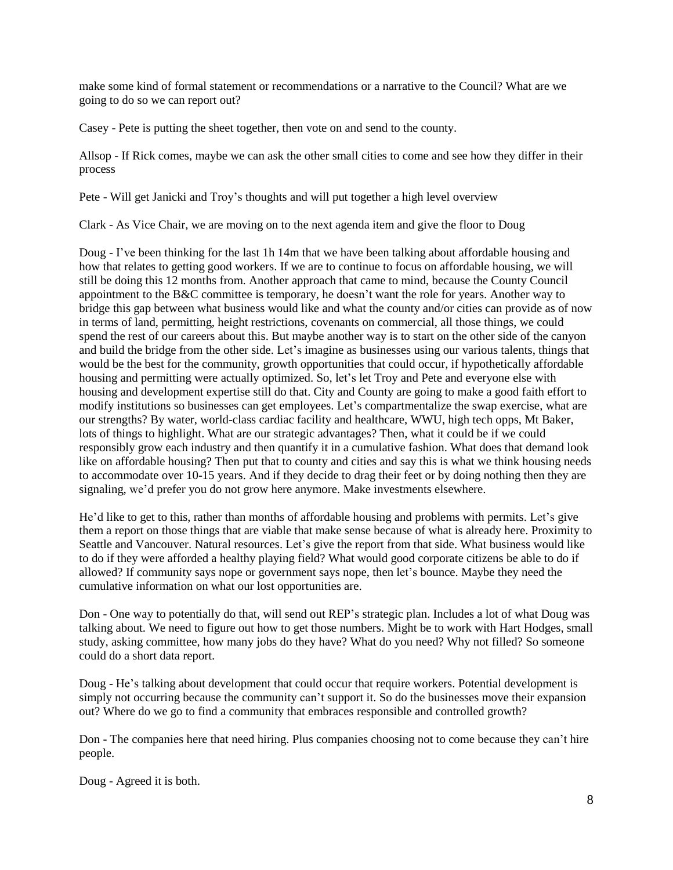make some kind of formal statement or recommendations or a narrative to the Council? What are we going to do so we can report out?

Casey - Pete is putting the sheet together, then vote on and send to the county.

Allsop - If Rick comes, maybe we can ask the other small cities to come and see how they differ in their process

Pete - Will get Janicki and Troy's thoughts and will put together a high level overview

Clark - As Vice Chair, we are moving on to the next agenda item and give the floor to Doug

Doug - I've been thinking for the last 1h 14m that we have been talking about affordable housing and how that relates to getting good workers. If we are to continue to focus on affordable housing, we will still be doing this 12 months from. Another approach that came to mind, because the County Council appointment to the B&C committee is temporary, he doesn't want the role for years. Another way to bridge this gap between what business would like and what the county and/or cities can provide as of now in terms of land, permitting, height restrictions, covenants on commercial, all those things, we could spend the rest of our careers about this. But maybe another way is to start on the other side of the canyon and build the bridge from the other side. Let's imagine as businesses using our various talents, things that would be the best for the community, growth opportunities that could occur, if hypothetically affordable housing and permitting were actually optimized. So, let's let Troy and Pete and everyone else with housing and development expertise still do that. City and County are going to make a good faith effort to modify institutions so businesses can get employees. Let's compartmentalize the swap exercise, what are our strengths? By water, world-class cardiac facility and healthcare, WWU, high tech opps, Mt Baker, lots of things to highlight. What are our strategic advantages? Then, what it could be if we could responsibly grow each industry and then quantify it in a cumulative fashion. What does that demand look like on affordable housing? Then put that to county and cities and say this is what we think housing needs to accommodate over 10-15 years. And if they decide to drag their feet or by doing nothing then they are signaling, we'd prefer you do not grow here anymore. Make investments elsewhere.

He'd like to get to this, rather than months of affordable housing and problems with permits. Let's give them a report on those things that are viable that make sense because of what is already here. Proximity to Seattle and Vancouver. Natural resources. Let's give the report from that side. What business would like to do if they were afforded a healthy playing field? What would good corporate citizens be able to do if allowed? If community says nope or government says nope, then let's bounce. Maybe they need the cumulative information on what our lost opportunities are.

Don - One way to potentially do that, will send out REP's strategic plan. Includes a lot of what Doug was talking about. We need to figure out how to get those numbers. Might be to work with Hart Hodges, small study, asking committee, how many jobs do they have? What do you need? Why not filled? So someone could do a short data report.

Doug - He's talking about development that could occur that require workers. Potential development is simply not occurring because the community can't support it. So do the businesses move their expansion out? Where do we go to find a community that embraces responsible and controlled growth?

Don - The companies here that need hiring. Plus companies choosing not to come because they can't hire people.

Doug - Agreed it is both.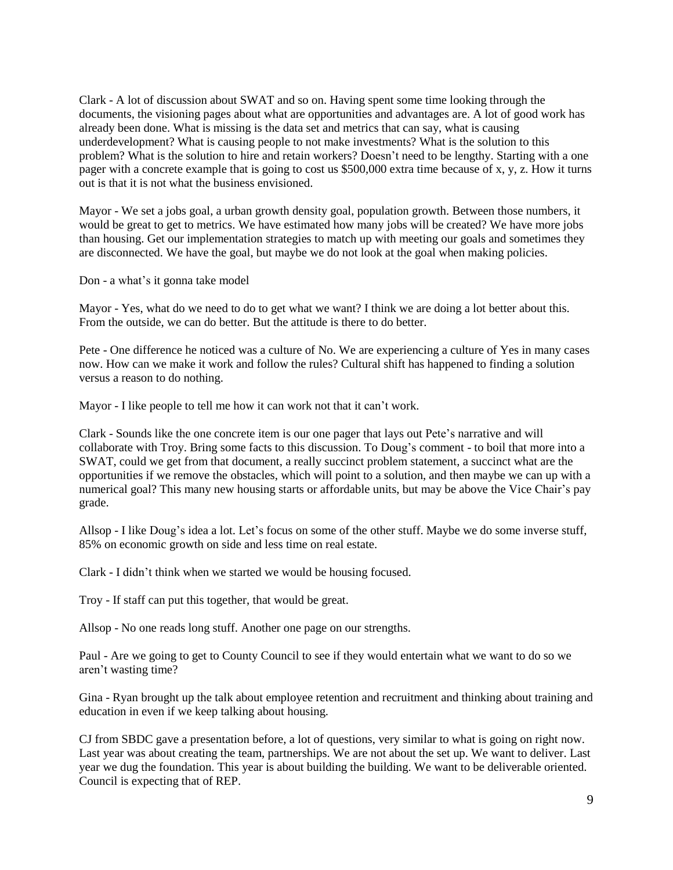Clark - A lot of discussion about SWAT and so on. Having spent some time looking through the documents, the visioning pages about what are opportunities and advantages are. A lot of good work has already been done. What is missing is the data set and metrics that can say, what is causing underdevelopment? What is causing people to not make investments? What is the solution to this problem? What is the solution to hire and retain workers? Doesn't need to be lengthy. Starting with a one pager with a concrete example that is going to cost us \$500,000 extra time because of x, y, z. How it turns out is that it is not what the business envisioned.

Mayor - We set a jobs goal, a urban growth density goal, population growth. Between those numbers, it would be great to get to metrics. We have estimated how many jobs will be created? We have more jobs than housing. Get our implementation strategies to match up with meeting our goals and sometimes they are disconnected. We have the goal, but maybe we do not look at the goal when making policies.

Don - a what's it gonna take model

Mayor - Yes, what do we need to do to get what we want? I think we are doing a lot better about this. From the outside, we can do better. But the attitude is there to do better.

Pete - One difference he noticed was a culture of No. We are experiencing a culture of Yes in many cases now. How can we make it work and follow the rules? Cultural shift has happened to finding a solution versus a reason to do nothing.

Mayor - I like people to tell me how it can work not that it can't work.

Clark - Sounds like the one concrete item is our one pager that lays out Pete's narrative and will collaborate with Troy. Bring some facts to this discussion. To Doug's comment - to boil that more into a SWAT, could we get from that document, a really succinct problem statement, a succinct what are the opportunities if we remove the obstacles, which will point to a solution, and then maybe we can up with a numerical goal? This many new housing starts or affordable units, but may be above the Vice Chair's pay grade.

Allsop - I like Doug's idea a lot. Let's focus on some of the other stuff. Maybe we do some inverse stuff, 85% on economic growth on side and less time on real estate.

Clark - I didn't think when we started we would be housing focused.

Troy - If staff can put this together, that would be great.

Allsop - No one reads long stuff. Another one page on our strengths.

Paul - Are we going to get to County Council to see if they would entertain what we want to do so we aren't wasting time?

Gina - Ryan brought up the talk about employee retention and recruitment and thinking about training and education in even if we keep talking about housing.

CJ from SBDC gave a presentation before, a lot of questions, very similar to what is going on right now. Last year was about creating the team, partnerships. We are not about the set up. We want to deliver. Last year we dug the foundation. This year is about building the building. We want to be deliverable oriented. Council is expecting that of REP.